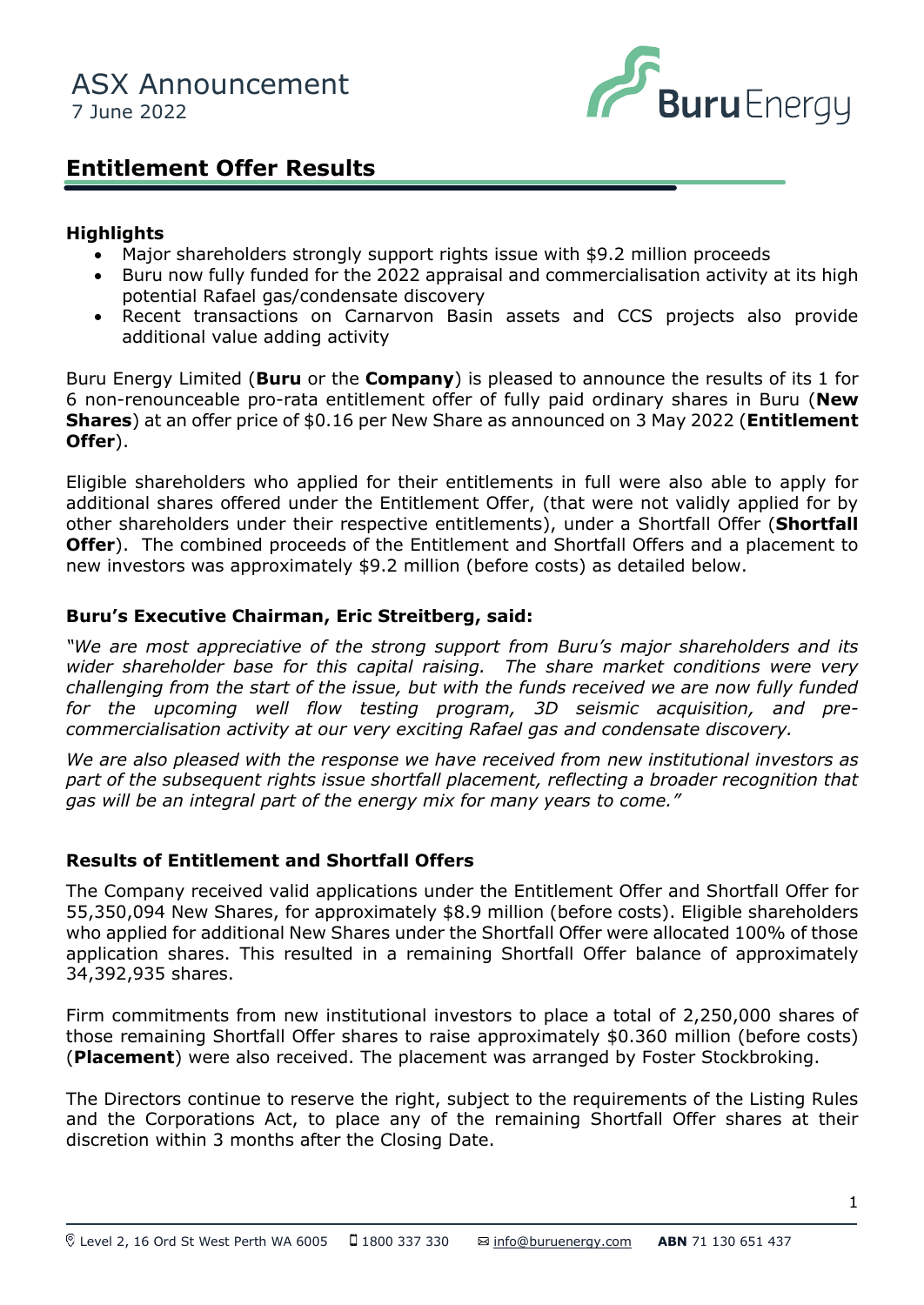

# **Entitlement Offer Results**

#### **Highlights**

- Major shareholders strongly support rights issue with \$9.2 million proceeds
- Buru now fully funded for the 2022 appraisal and commercialisation activity at its high potential Rafael gas/condensate discovery
- additional value • Recent transactions on Carnarvon Basin assets and CCS projects also provide additional value adding activity

Buru Energy Limited (**Buru** or the **Company**) is pleased to announce the results of its 1 for 6 non-renounceable pro-rata entitlement offer of fully paid ordinary shares in Buru (**New Shares**) at an offer price of \$0.16 per New Share as announced on 3 May 2022 (**Entitlement Offer**).

Eligible shareholders who applied for their entitlements in full were also able to apply for additional shares offered under the Entitlement Offer, (that were not validly applied for by other shareholders under their respective entitlements), under a Shortfall Offer (**Shortfall Offer**). The combined proceeds of the Entitlement and Shortfall Offers and a placement to new investors was approximately \$9.2 million (before costs) as detailed below.

#### **Buru's Executive Chairman, Eric Streitberg, said:**

*"We are most appreciative of the strong support from Buru's major shareholders and its wider shareholder base for this capital raising. The share market conditions were very challenging from the start of the issue, but with the funds received we are now fully funded for the upcoming well flow testing program, 3D seismic acquisition, and precommercialisation activity at our very exciting Rafael gas and condensate discovery.*

*We are also pleased with the response we have received from new institutional investors as part of the subsequent rights issue shortfall placement, reflecting a broader recognition that gas will be an integral part of the energy mix for many years to come."*

### **Results of Entitlement and Shortfall Offers**

The Company received valid applications under the Entitlement Offer and Shortfall Offer for 55,350,094 New Shares, for approximately \$8.9 million (before costs). Eligible shareholders who applied for additional New Shares under the Shortfall Offer were allocated 100% of those application shares. This resulted in a remaining Shortfall Offer balance of approximately 34,392,935 shares.

Firm commitments from new institutional investors to place a total of 2,250,000 shares of those remaining Shortfall Offer shares to raise approximately \$0.360 million (before costs) (**Placement**) were also received. The placement was arranged by Foster Stockbroking.

The Directors continue to reserve the right, subject to the requirements of the Listing Rules and the Corporations Act, to place any of the remaining Shortfall Offer shares at their discretion within 3 months after the Closing Date.